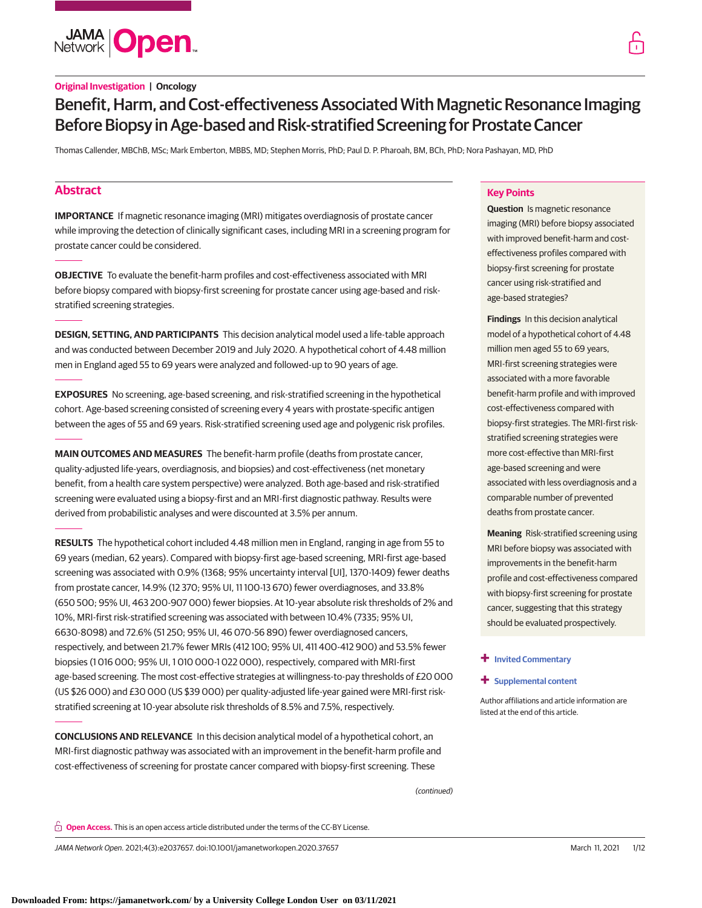**JAMA Open** 

Thomas Callender, MBChB, MSc; Mark Emberton, MBBS, MD; Stephen Morris, PhD; Paul D. P. Pharoah, BM, BCh, PhD; Nora Pashayan, MD, PhD

# **Abstract**

**IMPORTANCE** If magnetic resonance imaging (MRI) mitigates overdiagnosis of prostate cancer while improving the detection of clinically significant cases, including MRI in a screening program for prostate cancer could be considered.

**OBJECTIVE** To evaluate the benefit-harm profiles and cost-effectiveness associated with MRI before biopsy compared with biopsy-first screening for prostate cancer using age-based and riskstratified screening strategies.

**DESIGN, SETTING, AND PARTICIPANTS** This decision analytical model used a life-table approach and was conducted between December 2019 and July 2020. A hypothetical cohort of 4.48 million men in England aged 55 to 69 years were analyzed and followed-up to 90 years of age.

**EXPOSURES** No screening, age-based screening, and risk-stratified screening in the hypothetical cohort. Age-based screening consisted of screening every 4 years with prostate-specific antigen between the ages of 55 and 69 years. Risk-stratified screening used age and polygenic risk profiles.

**MAIN OUTCOMES AND MEASURES** The benefit-harm profile (deaths from prostate cancer, quality-adjusted life-years, overdiagnosis, and biopsies) and cost-effectiveness (net monetary benefit, from a health care system perspective) were analyzed. Both age-based and risk-stratified screening were evaluated using a biopsy-first and an MRI-first diagnostic pathway. Results were derived from probabilistic analyses and were discounted at 3.5% per annum.

**RESULTS** The hypothetical cohort included 4.48 million men in England, ranging in age from 55 to 69 years (median, 62 years). Compared with biopsy-first age-based screening, MRI-first age-based screening was associated with 0.9% (1368; 95% uncertainty interval [UI], 1370-1409) fewer deaths from prostate cancer, 14.9% (12 370; 95% UI, 11 100-13 670) fewer overdiagnoses, and 33.8% (650 500; 95% UI, 463 200-907 000) fewer biopsies. At 10-year absolute risk thresholds of 2% and 10%, MRI-first risk-stratified screening was associated with between 10.4% (7335; 95% UI, 6630-8098) and 72.6% (51 250; 95% UI, 46 070-56 890) fewer overdiagnosed cancers, respectively, and between 21.7% fewer MRIs (412 100; 95% UI, 411 400-412 900) and 53.5% fewer biopsies (1 016 000; 95% UI, 1 010 000-1 022 000), respectively, compared with MRI-first age-based screening. The most cost-effective strategies at willingness-to-pay thresholds of £20 000 (US \$26 000) and £30 000 (US \$39 000) per quality-adjusted life-year gained were MRI-first riskstratified screening at 10-year absolute risk thresholds of 8.5% and 7.5%, respectively.

**CONCLUSIONS AND RELEVANCE** In this decision analytical model of a hypothetical cohort, an MRI-first diagnostic pathway was associated with an improvement in the benefit-harm profile and cost-effectiveness of screening for prostate cancer compared with biopsy-first screening. These

**Key Points**

**Question** Is magnetic resonance imaging (MRI) before biopsy associated with improved benefit-harm and costeffectiveness profiles compared with biopsy-first screening for prostate cancer using risk-stratified and age-based strategies?

**Findings** In this decision analytical model of a hypothetical cohort of 4.48 million men aged 55 to 69 years, MRI-first screening strategies were associated with a more favorable benefit-harm profile and with improved cost-effectiveness compared with biopsy-first strategies. The MRI-first riskstratified screening strategies were more cost-effective than MRI-first age-based screening and were associated with less overdiagnosis and a comparable number of prevented deaths from prostate cancer.

**Meaning** Risk-stratified screening using MRI before biopsy was associated with improvements in the benefit-harm profile and cost-effectiveness compared with biopsy-first screening for prostate cancer, suggesting that this strategy should be evaluated prospectively.

## **+ [Invited Commentary](https://jama.jamanetwork.com/article.aspx?doi=10.1001/jamanetworkopen.2021.2182&utm_campaign=articlePDF%26utm_medium=articlePDFlink%26utm_source=articlePDF%26utm_content=jamanetworkopen.2020.37657)**

**+ [Supplemental content](https://jama.jamanetwork.com/article.aspx?doi=10.1001/jamanetworkopen.2020.37657&utm_campaign=articlePDF%26utm_medium=articlePDFlink%26utm_source=articlePDF%26utm_content=jamanetworkopen.2020.37657)**

Author affiliations and article information are listed at the end of this article.

(continued)

**Open Access.** This is an open access article distributed under the terms of the CC-BY License.

JAMA Network Open. 2021;4(3):e2037657. doi:10.1001/jamanetworkopen.2020.37657 (Reprinted) March 11, 2021 1/12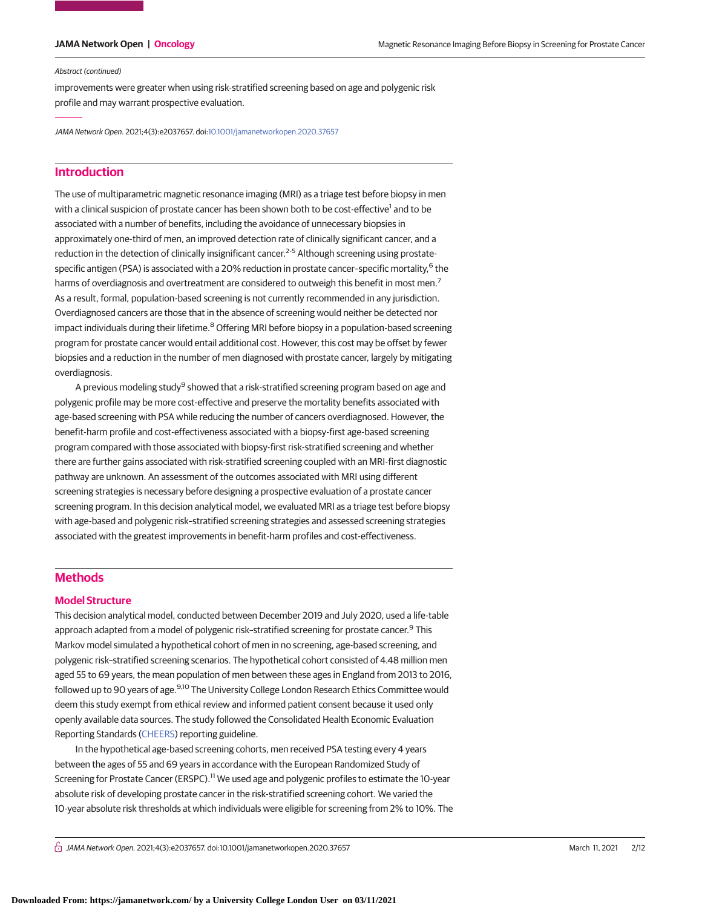#### Abstract (continued)

improvements were greater when using risk-stratified screening based on age and polygenic risk profile and may warrant prospective evaluation.

JAMA Network Open. 2021;4(3):e2037657. doi[:10.1001/jamanetworkopen.2020.37657](https://jama.jamanetwork.com/article.aspx?doi=10.1001/jamanetworkopen.2020.37657&utm_campaign=articlePDF%26utm_medium=articlePDFlink%26utm_source=articlePDF%26utm_content=jamanetworkopen.2020.37657)

# **Introduction**

The use of multiparametric magnetic resonance imaging (MRI) as a triage test before biopsy in men with a clinical suspicion of prostate cancer has been shown both to be cost-effective<sup>1</sup> and to be associated with a number of benefits, including the avoidance of unnecessary biopsies in approximately one-third of men, an improved detection rate of clinically significant cancer, and a reduction in the detection of clinically insignificant cancer.<sup>2-5</sup> Although screening using prostatespecific antigen (PSA) is associated with a 20% reduction in prostate cancer-specific mortality,<sup>6</sup> the harms of overdiagnosis and overtreatment are considered to outweigh this benefit in most men.<sup>7</sup> As a result, formal, population-based screening is not currently recommended in any jurisdiction. Overdiagnosed cancers are those that in the absence of screening would neither be detected nor impact individuals during their lifetime.<sup>8</sup> Offering MRI before biopsy in a population-based screening program for prostate cancer would entail additional cost. However, this cost may be offset by fewer biopsies and a reduction in the number of men diagnosed with prostate cancer, largely by mitigating overdiagnosis.

A previous modeling study<sup>9</sup> showed that a risk-stratified screening program based on age and polygenic profile may be more cost-effective and preserve the mortality benefits associated with age-based screening with PSA while reducing the number of cancers overdiagnosed. However, the benefit-harm profile and cost-effectiveness associated with a biopsy-first age-based screening program compared with those associated with biopsy-first risk-stratified screening and whether there are further gains associated with risk-stratified screening coupled with an MRI-first diagnostic pathway are unknown. An assessment of the outcomes associated with MRI using different screening strategies is necessary before designing a prospective evaluation of a prostate cancer screening program. In this decision analytical model, we evaluated MRI as a triage test before biopsy with age-based and polygenic risk–stratified screening strategies and assessed screening strategies associated with the greatest improvements in benefit-harm profiles and cost-effectiveness.

# **Methods**

#### **Model Structure**

This decision analytical model, conducted between December 2019 and July 2020, used a life-table approach adapted from a model of polygenic risk-stratified screening for prostate cancer.<sup>9</sup> This Markov model simulated a hypothetical cohort of men in no screening, age-based screening, and polygenic risk–stratified screening scenarios. The hypothetical cohort consisted of 4.48 million men aged 55 to 69 years, the mean population of men between these ages in England from 2013 to 2016, followed up to 90 years of age.9,10 The University College London Research Ethics Committee would deem this study exempt from ethical review and informed patient consent because it used only openly available data sources. The study followed the Consolidated Health Economic Evaluation Reporting Standards [\(CHEERS\)](https://www.equator-network.org/reporting-guidelines/cheers/) reporting guideline.

In the hypothetical age-based screening cohorts, men received PSA testing every 4 years between the ages of 55 and 69 years in accordance with the European Randomized Study of Screening for Prostate Cancer (ERSPC).<sup>11</sup> We used age and polygenic profiles to estimate the 10-year absolute risk of developing prostate cancer in the risk-stratified screening cohort. We varied the 10-year absolute risk thresholds at which individuals were eligible for screening from 2% to 10%. The

 $\bigcap$  JAMA Network Open. 2021;4(3):e2037657. doi:10.1001/jamanetworkopen.2020.37657 (Reprinted) March 11, 2021 2/12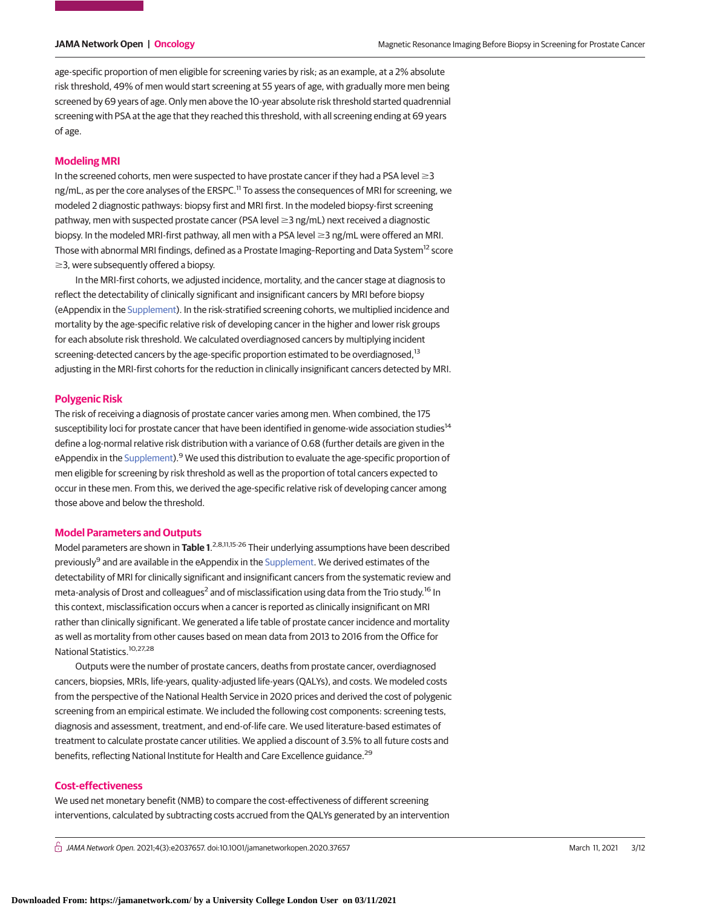age-specific proportion of men eligible for screening varies by risk; as an example, at a 2% absolute risk threshold, 49% of men would start screening at 55 years of age, with gradually more men being screened by 69 years of age. Only men above the 10-year absolute risk threshold started quadrennial screening with PSA at the age that they reached this threshold, with all screening ending at 69 years of age.

# **Modeling MRI**

In the screened cohorts, men were suspected to have prostate cancer if they had a PSA level  $\geq$ 3 ng/mL, as per the core analyses of the ERSPC.<sup>11</sup> To assess the consequences of MRI for screening, we modeled 2 diagnostic pathways: biopsy first and MRI first. In the modeled biopsy-first screening pathway, men with suspected prostate cancer (PSA level ≥3 ng/mL) next received a diagnostic biopsy. In the modeled MRI-first pathway, all men with a PSA level  $\geq$  3 ng/mL were offered an MRI. Those with abnormal MRI findings, defined as a Prostate Imaging–Reporting and Data System<sup>12</sup> score  $\geq$ 3, were subsequently offered a biopsy.

In the MRI-first cohorts, we adjusted incidence, mortality, and the cancer stage at diagnosis to reflect the detectability of clinically significant and insignificant cancers by MRI before biopsy (eAppendix in the [Supplement\)](https://jama.jamanetwork.com/article.aspx?doi=10.1001/jamanetworkopen.2020.37657&utm_campaign=articlePDF%26utm_medium=articlePDFlink%26utm_source=articlePDF%26utm_content=jamanetworkopen.2020.37657). In the risk-stratified screening cohorts, we multiplied incidence and mortality by the age-specific relative risk of developing cancer in the higher and lower risk groups for each absolute risk threshold. We calculated overdiagnosed cancers by multiplying incident screening-detected cancers by the age-specific proportion estimated to be overdiagnosed,<sup>13</sup> adjusting in the MRI-first cohorts for the reduction in clinically insignificant cancers detected by MRI.

### **Polygenic Risk**

The risk of receiving a diagnosis of prostate cancer varies among men. When combined, the 175 susceptibility loci for prostate cancer that have been identified in genome-wide association studies<sup>14</sup> define a log-normal relative risk distribution with a variance of 0.68 (further details are given in the eAppendix in the [Supplement\)](https://jama.jamanetwork.com/article.aspx?doi=10.1001/jamanetworkopen.2020.37657&utm_campaign=articlePDF%26utm_medium=articlePDFlink%26utm_source=articlePDF%26utm_content=jamanetworkopen.2020.37657).<sup>9</sup> We used this distribution to evaluate the age-specific proportion of men eligible for screening by risk threshold as well as the proportion of total cancers expected to occur in these men. From this, we derived the age-specific relative risk of developing cancer among those above and below the threshold.

## **Model Parameters and Outputs**

Model parameters are shown in **Table 1**. 2,8,11,15-26 Their underlying assumptions have been described previously<sup>9</sup> and are available in the eAppendix in the [Supplement.](https://jama.jamanetwork.com/article.aspx?doi=10.1001/jamanetworkopen.2020.37657&utm_campaign=articlePDF%26utm_medium=articlePDFlink%26utm_source=articlePDF%26utm_content=jamanetworkopen.2020.37657) We derived estimates of the detectability of MRI for clinically significant and insignificant cancers from the systematic review and meta-analysis of Drost and colleagues<sup>2</sup> and of misclassification using data from the Trio study.<sup>16</sup> In this context, misclassification occurs when a cancer is reported as clinically insignificant on MRI rather than clinically significant. We generated a life table of prostate cancer incidence and mortality as well as mortality from other causes based on mean data from 2013 to 2016 from the Office for National Statistics.10,27,28

Outputs were the number of prostate cancers, deaths from prostate cancer, overdiagnosed cancers, biopsies, MRIs, life-years, quality-adjusted life-years (QALYs), and costs. We modeled costs from the perspective of the National Health Service in 2020 prices and derived the cost of polygenic screening from an empirical estimate. We included the following cost components: screening tests, diagnosis and assessment, treatment, and end-of-life care. We used literature-based estimates of treatment to calculate prostate cancer utilities. We applied a discount of 3.5% to all future costs and benefits, reflecting National Institute for Health and Care Excellence guidance.<sup>29</sup>

## **Cost-effectiveness**

We used net monetary benefit (NMB) to compare the cost-effectiveness of different screening interventions, calculated by subtracting costs accrued from the QALYs generated by an intervention

 $\bigcap$  JAMA Network Open. 2021;4(3):e2037657. doi:10.1001/jamanetworkopen.2020.37657 (Reprinted) March 11, 2021 3/12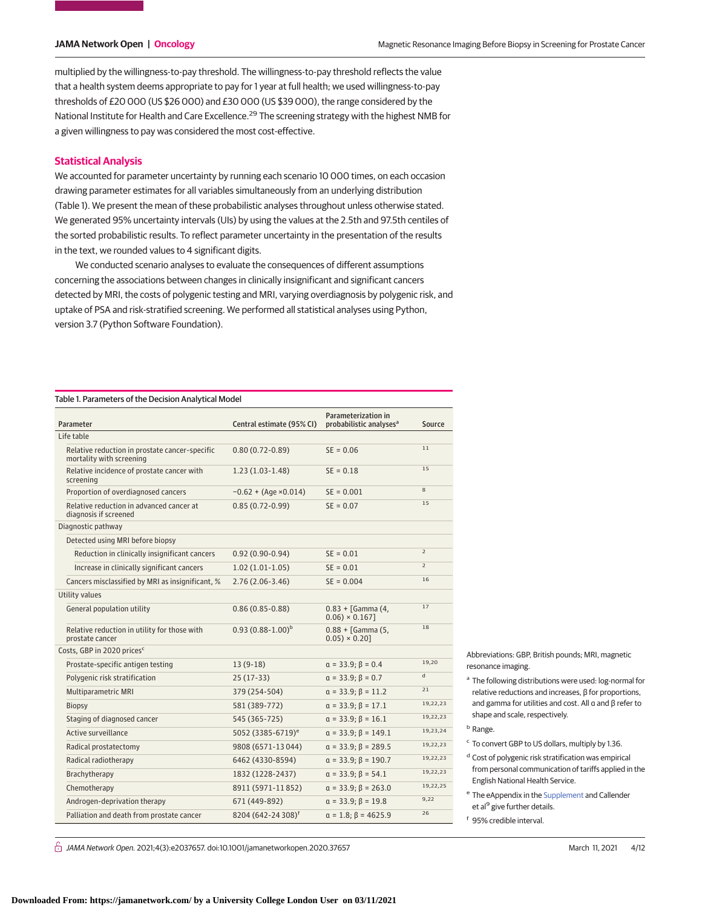multiplied by the willingness-to-pay threshold. The willingness-to-pay threshold reflects the value that a health system deems appropriate to pay for 1 year at full health; we used willingness-to-pay thresholds of £20 000 (US \$26 000) and £30 000 (US \$39 000), the range considered by the National Institute for Health and Care Excellence.<sup>29</sup> The screening strategy with the highest NMB for a given willingness to pay was considered the most cost-effective.

## **Statistical Analysis**

We accounted for parameter uncertainty by running each scenario 10 000 times, on each occasion drawing parameter estimates for all variables simultaneously from an underlying distribution (Table 1). We present the mean of these probabilistic analyses throughout unless otherwise stated. We generated 95% uncertainty intervals (UIs) by using the values at the 2.5th and 97.5th centiles of the sorted probabilistic results. To reflect parameter uncertainty in the presentation of the results in the text, we rounded values to 4 significant digits.

We conducted scenario analyses to evaluate the consequences of different assumptions concerning the associations between changes in clinically insignificant and significant cancers detected by MRI, the costs of polygenic testing and MRI, varying overdiagnosis by polygenic risk, and uptake of PSA and risk-stratified screening. We performed all statistical analyses using Python, version 3.7 (Python Software Foundation).

#### Table 1. Parameters of the Decision Analytical Model

| Parameter                                                                  | Central estimate (95% CI)      | <b>Parameterization in</b><br>probabilistic analyses <sup>a</sup> | Source         |  |  |
|----------------------------------------------------------------------------|--------------------------------|-------------------------------------------------------------------|----------------|--|--|
| Life table                                                                 |                                |                                                                   |                |  |  |
| Relative reduction in prostate cancer-specific<br>mortality with screening | $0.80(0.72 - 0.89)$            | $SE = 0.06$                                                       | 11             |  |  |
| Relative incidence of prostate cancer with<br>screening                    | $1.23(1.03-1.48)$              | $SE = 0.18$                                                       | 15             |  |  |
| Proportion of overdiagnosed cancers                                        | $-0.62 + (Age \times 0.014)$   | $SE = 0.001$                                                      | 8              |  |  |
| Relative reduction in advanced cancer at<br>diagnosis if screened          | $0.85(0.72-0.99)$              | $SE = 0.07$                                                       | 15             |  |  |
| Diagnostic pathway                                                         |                                |                                                                   |                |  |  |
| Detected using MRI before biopsy                                           |                                |                                                                   |                |  |  |
| Reduction in clinically insignificant cancers                              | $0.92(0.90-0.94)$              | $SE = 0.01$                                                       | $\mathcal{P}$  |  |  |
| Increase in clinically significant cancers                                 | $1.02(1.01-1.05)$              | $SE = 0.01$                                                       | $\overline{2}$ |  |  |
| Cancers misclassified by MRI as insignificant, %                           | $2.76(2.06-3.46)$              | $SE = 0.004$                                                      | 16             |  |  |
| Utility values                                                             |                                |                                                                   |                |  |  |
| General population utility                                                 | $0.86(0.85 - 0.88)$            | $0.83 +$ [Gamma (4,<br>$0.06) \times 0.167$                       | 17             |  |  |
| Relative reduction in utility for those with<br>prostate cancer            | $0.93(0.88-1.00)^b$            | $0.88 +$ [Gamma (5,<br>$0.05) \times 0.20$                        | 18             |  |  |
| Costs, GBP in 2020 prices <sup>c</sup>                                     |                                |                                                                   |                |  |  |
| Prostate-specific antigen testing                                          | $13(9-18)$                     | $\alpha = 33.9; \beta = 0.4$                                      | 19,20          |  |  |
| Polygenic risk stratification                                              | $25(17-33)$                    | $a = 33.9; \beta = 0.7$                                           | $\mathsf{d}$   |  |  |
| <b>Multiparametric MRI</b>                                                 | 379 (254-504)                  | $a = 33.9; \beta = 11.2$                                          | 21             |  |  |
| <b>Biopsy</b>                                                              | 581 (389-772)                  | $a = 33.9; \beta = 17.1$                                          | 19,22,23       |  |  |
| Staging of diagnosed cancer                                                | 545 (365-725)                  | $a = 33.9; \beta = 16.1$                                          | 19,22,23       |  |  |
| Active surveillance                                                        | 5052 (3385-6719) <sup>e</sup>  | $\alpha = 33.9; \beta = 149.1$                                    | 19,23,24       |  |  |
| Radical prostatectomy                                                      | 9808 (6571-13044)              | $\alpha = 33.9; \beta = 289.5$                                    | 19,22,23       |  |  |
| Radical radiotherapy                                                       | 6462 (4330-8594)               | $\alpha = 33.9; \beta = 190.7$                                    | 19,22,23       |  |  |
| Brachytherapy                                                              | 1832 (1228-2437)               | $a = 33.9; \beta = 54.1$                                          | 19,22,23       |  |  |
| Chemotherapy                                                               | 8911 (5971-11852)              | $\alpha = 33.9; \beta = 263.0$                                    | 19,22,25       |  |  |
| Androgen-deprivation therapy                                               | 671 (449-892)                  | $a = 33.9; \beta = 19.8$                                          | 9,22           |  |  |
| Palliation and death from prostate cancer                                  | 8204 (642-24 308) <sup>f</sup> | $\alpha = 1.8$ ; $\beta = 4625.9$                                 | 26             |  |  |

Abbreviations: GBP, British pounds; MRI, magnetic resonance imaging.

<sup>a</sup> The following distributions were used: log-normal for relative reductions and increases, β for proportions, and gamma for utilities and cost. All α and β refer to shape and scale, respectively.

<sup>b</sup> Range.

- <sup>c</sup> To convert GBP to US dollars, multiply by 1.36.
- <sup>d</sup> Cost of polygenic risk stratification was empirical from personal communication of tariffs applied in the English National Health Service.
- <sup>e</sup> The eAppendix in the [Supplement](https://jama.jamanetwork.com/article.aspx?doi=10.1001/jamanetworkopen.2020.37657&utm_campaign=articlePDF%26utm_medium=articlePDFlink%26utm_source=articlePDF%26utm_content=jamanetworkopen.2020.37657) and Callender et al<sup>9</sup> give further details.
- <sup>f</sup> 95% credible interval.

 $\bigcap$  JAMA Network Open. 2021;4(3):e2037657. doi:10.1001/jamanetworkopen.2020.37657 (Reprinted) March 11, 2021 4/12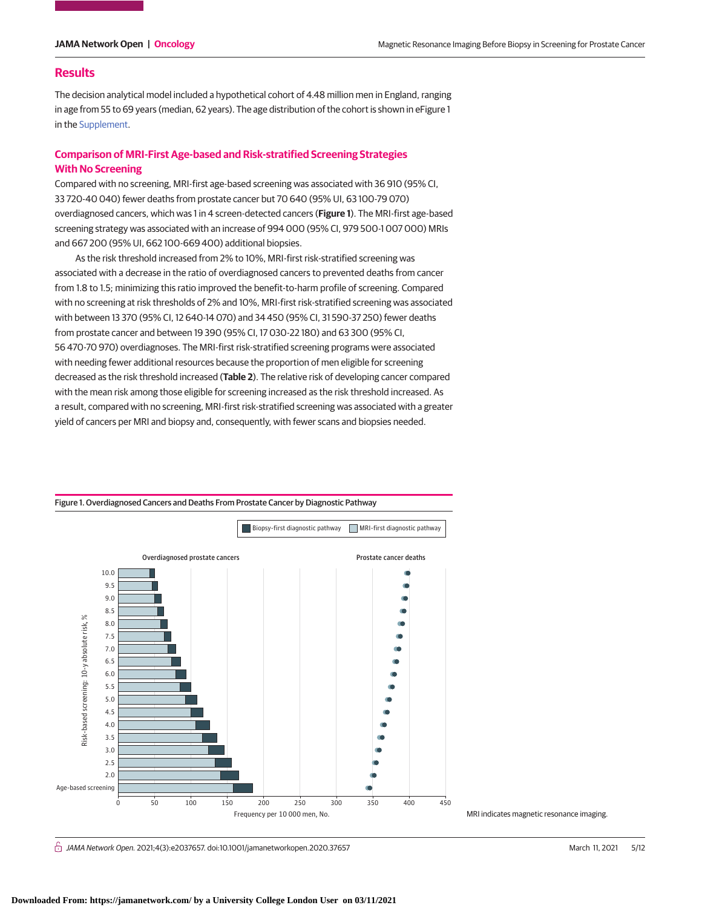## **Results**

The decision analytical model included a hypothetical cohort of 4.48 million men in England, ranging in age from 55 to 69 years (median, 62 years). The age distribution of the cohort is shown in eFigure 1 in the [Supplement.](https://jama.jamanetwork.com/article.aspx?doi=10.1001/jamanetworkopen.2020.37657&utm_campaign=articlePDF%26utm_medium=articlePDFlink%26utm_source=articlePDF%26utm_content=jamanetworkopen.2020.37657)

# **Comparison of MRI-First Age-based and Risk-stratified Screening Strategies With No Screening**

Compared with no screening, MRI-first age-based screening was associated with 36 910 (95% CI, 33 720-40 040) fewer deaths from prostate cancer but 70 640 (95% UI, 63 100-79 070) overdiagnosed cancers, which was 1 in 4 screen-detected cancers (**Figure 1**). The MRI-first age-based screening strategy was associated with an increase of 994 000 (95% CI, 979 500-1 007 000) MRIs and 667 200 (95% UI, 662 100-669 400) additional biopsies.

As the risk threshold increased from 2% to 10%, MRI-first risk-stratified screening was associated with a decrease in the ratio of overdiagnosed cancers to prevented deaths from cancer from 1.8 to 1.5; minimizing this ratio improved the benefit-to-harm profile of screening. Compared with no screening at risk thresholds of 2% and 10%, MRI-first risk-stratified screening was associated with between 13 370 (95% CI, 12 640-14 070) and 34 450 (95% CI, 31 590-37 250) fewer deaths from prostate cancer and between 19 390 (95% CI, 17 030-22 180) and 63 300 (95% CI, 56 470-70 970) overdiagnoses. The MRI-first risk-stratified screening programs were associated with needing fewer additional resources because the proportion of men eligible for screening decreased as the risk threshold increased (**Table 2**). The relative risk of developing cancer compared with the mean risk among those eligible for screening increased as the risk threshold increased. As a result, compared with no screening, MRI-first risk-stratified screening was associated with a greater yield of cancers per MRI and biopsy and, consequently, with fewer scans and biopsies needed.



Figure 1. Overdiagnosed Cancers and Deaths From Prostate Cancer by Diagnostic Pathway

MRI indicates magnetic resonance imaging.

 $\bigcap$  JAMA Network Open. 2021;4(3):e2037657. doi:10.1001/jamanetworkopen.2020.37657 (Reprinted) March 11, 2021 5/12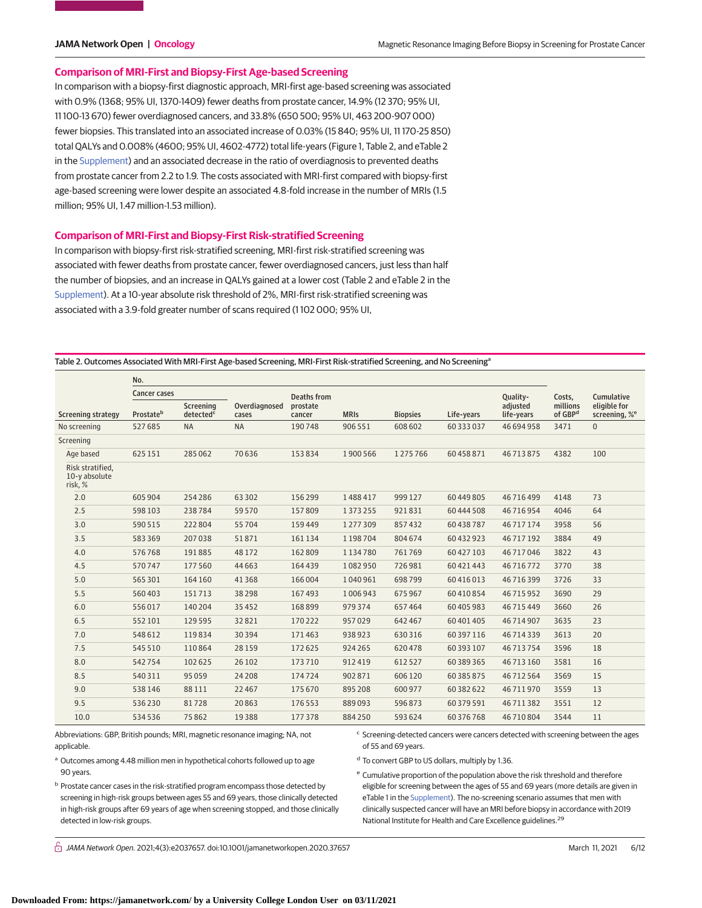## **Comparison of MRI-First and Biopsy-First Age-based Screening**

In comparison with a biopsy-first diagnostic approach, MRI-first age-based screening was associated with 0.9% (1368; 95% UI, 1370-1409) fewer deaths from prostate cancer, 14.9% (12 370; 95% UI, 11 100-13 670) fewer overdiagnosed cancers, and 33.8% (650 500; 95% UI, 463 200-907 000) fewer biopsies. This translated into an associated increase of 0.03% (15 840; 95% UI, 11 170-25 850) total QALYs and 0.008% (4600; 95% UI, 4602-4772) total life-years (Figure 1, Table 2, and eTable 2 in the [Supplement\)](https://jama.jamanetwork.com/article.aspx?doi=10.1001/jamanetworkopen.2020.37657&utm_campaign=articlePDF%26utm_medium=articlePDFlink%26utm_source=articlePDF%26utm_content=jamanetworkopen.2020.37657) and an associated decrease in the ratio of overdiagnosis to prevented deaths from prostate cancer from 2.2 to 1.9. The costs associated with MRI-first compared with biopsy-first age-based screening were lower despite an associated 4.8-fold increase in the number of MRIs (1.5 million; 95% UI, 1.47 million-1.53 million).

### **Comparison of MRI-First and Biopsy-First Risk-stratified Screening**

In comparison with biopsy-first risk-stratified screening, MRI-first risk-stratified screening was associated with fewer deaths from prostate cancer, fewer overdiagnosed cancers, just less than half the number of biopsies, and an increase in QALYs gained at a lower cost (Table 2 and eTable 2 in the [Supplement\)](https://jama.jamanetwork.com/article.aspx?doi=10.1001/jamanetworkopen.2020.37657&utm_campaign=articlePDF%26utm_medium=articlePDFlink%26utm_source=articlePDF%26utm_content=jamanetworkopen.2020.37657). At a 10-year absolute risk threshold of 2%, MRI-first risk-stratified screening was associated with a 3.9-fold greater number of scans required (1 102 000; 95% UI,

Table 2. Outcomes Associated With MRI-First Age-based Screening, MRI-First Risk-stratified Screening, and No Screening<sup>a</sup>

|                                              | No.                 |                                    |                        |                    |             |                 |            |                        |                                 |                                           |
|----------------------------------------------|---------------------|------------------------------------|------------------------|--------------------|-------------|-----------------|------------|------------------------|---------------------------------|-------------------------------------------|
|                                              | <b>Cancer cases</b> |                                    |                        | <b>Deaths from</b> |             |                 |            | Quality-               | Costs,                          | Cumulative                                |
| Screening strategy                           | Prostateb           | Screening<br>detected <sup>c</sup> | Overdiagnosed<br>cases | prostate<br>cancer | <b>MRIS</b> | <b>Biopsies</b> | Life-years | adjusted<br>life-years | millions<br>of GBP <sup>d</sup> | eligible for<br>screening, % <sup>e</sup> |
| No screening                                 | 527685              | <b>NA</b>                          | <b>NA</b>              | 190748             | 906 551     | 608 602         | 60 333 037 | 46 694 958             | 3471                            | $\mathbf{0}$                              |
| Screening                                    |                     |                                    |                        |                    |             |                 |            |                        |                                 |                                           |
| Age based                                    | 625 151             | 285062                             | 70636                  | 153834             | 1900566     | 1275766         | 60 458 871 | 46713875               | 4382                            | 100                                       |
| Risk stratified.<br>10-y absolute<br>risk, % |                     |                                    |                        |                    |             |                 |            |                        |                                 |                                           |
| 2.0                                          | 605904              | 254286                             | 63 302                 | 156299             | 1488417     | 999 127         | 60 449 805 | 46 716 499             | 4148                            | 73                                        |
| 2.5                                          | 598 103             | 238784                             | 59570                  | 157809             | 1373255     | 921831          | 60 444 508 | 46716954               | 4046                            | 64                                        |
| 3.0                                          | 590515              | 222804                             | 55704                  | 159449             | 1277309     | 857432          | 60 438 787 | 46717174               | 3958                            | 56                                        |
| 3.5                                          | 583369              | 207038                             | 51871                  | 161134             | 1198704     | 804674          | 60 432 923 | 46 717 192             | 3884                            | 49                                        |
| 4.0                                          | 576768              | 191885                             | 48 172                 | 162809             | 1134780     | 761769          | 60 427 103 | 46 717 046             | 3822                            | 43                                        |
| 4.5                                          | 570747              | 177560                             | 44 6 63                | 164439             | 1082950     | 726981          | 60 421 443 | 46716772               | 3770                            | 38                                        |
| 5.0                                          | 565 301             | 164 160                            | 41368                  | 166004             | 1040961     | 698799          | 60 416 013 | 46716399               | 3726                            | 33                                        |
| 5.5                                          | 560403              | 151713                             | 38298                  | 167493             | 1006943     | 675967          | 60 410 854 | 46715952               | 3690                            | 29                                        |
| 6.0                                          | 556017              | 140 204                            | 35452                  | 168899             | 979374      | 657464          | 60 405 983 | 46 715 449             | 3660                            | 26                                        |
| 6.5                                          | 552101              | 129595                             | 32821                  | 170222             | 957029      | 642 467         | 60 401 405 | 46714907               | 3635                            | 23                                        |
| 7.0                                          | 548612              | 119834                             | 30394                  | 171463             | 938923      | 630316          | 60 397 116 | 46714339               | 3613                            | 20                                        |
| 7.5                                          | 545 510             | 110864                             | 28 1 5 9               | 172625             | 924 265     | 620478          | 60 393 107 | 46713754               | 3596                            | 18                                        |
| 8.0                                          | 542754              | 102625                             | 26 10 2                | 173710             | 912419      | 612527          | 60 389 365 | 46 713 160             | 3581                            | 16                                        |
| 8.5                                          | 540311              | 95059                              | 24 208                 | 174724             | 902871      | 606120          | 60 385 875 | 46 712 564             | 3569                            | 15                                        |
| 9.0                                          | 538146              | 88111                              | 22 4 6 7               | 175670             | 895 208     | 600 977         | 60 382 622 | 46711970               | 3559                            | 13                                        |
| 9.5                                          | 536230              | 81728                              | 20863                  | 176553             | 889093      | 596873          | 60 379 591 | 46711382               | 3551                            | 12                                        |
| 10.0                                         | 534536              | 75862                              | 19388                  | 177378             | 884250      | 593624          | 60 376 768 | 46710804               | 3544                            | 11                                        |

Abbreviations: GBP, British pounds; MRI, magnetic resonance imaging; NA, not applicable. a Outcomes among 4.48 million men in hypothetical cohorts followed up to age

90 years.

<sup>c</sup> Screening-detected cancers were cancers detected with screening between the ages of 55 and 69 years.

<sup>d</sup> To convert GBP to US dollars, multiply by 1.36.

<sup>b</sup> Prostate cancer cases in the risk-stratified program encompass those detected by screening in high-risk groups between ages 55 and 69 years, those clinically detected in high-risk groups after 69 years of age when screening stopped, and those clinically detected in low-risk groups.

<sup>e</sup> Cumulative proportion of the population above the risk threshold and therefore eligible for screening between the ages of 55 and 69 years (more details are given in eTable 1 in the [Supplement\)](https://jama.jamanetwork.com/article.aspx?doi=10.1001/jamanetworkopen.2020.37657&utm_campaign=articlePDF%26utm_medium=articlePDFlink%26utm_source=articlePDF%26utm_content=jamanetworkopen.2020.37657). The no-screening scenario assumes that men with clinically suspected cancer will have an MRI before biopsy in accordance with 2019 National Institute for Health and Care Excellence guidelines.<sup>29</sup>

 $\bigcap$  JAMA Network Open. 2021;4(3):e2037657. doi:10.1001/jamanetworkopen.2020.37657 (Reprinted) March 11, 2021 6/12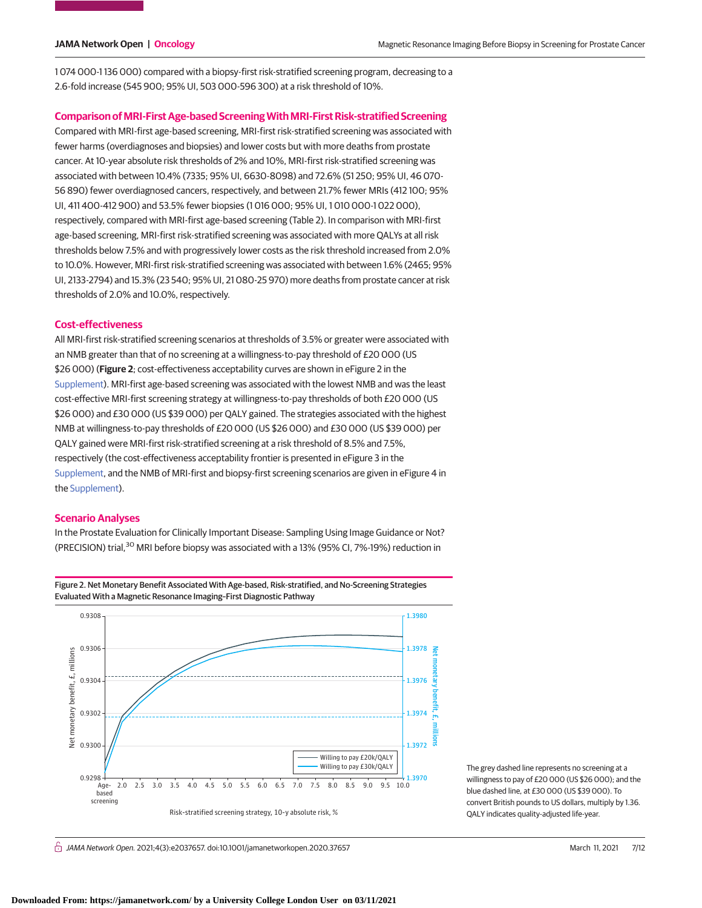1 074 000-1 136 000) compared with a biopsy-first risk-stratified screening program, decreasing to a 2.6-fold increase (545 900; 95% UI, 503 000-596 300) at a risk threshold of 10%.

### **Comparison ofMRI-First Age-based ScreeningWithMRI-First Risk-stratified Screening**

Compared with MRI-first age-based screening, MRI-first risk-stratified screening was associated with fewer harms (overdiagnoses and biopsies) and lower costs but with more deaths from prostate cancer. At 10-year absolute risk thresholds of 2% and 10%, MRI-first risk-stratified screening was associated with between 10.4% (7335; 95% UI, 6630-8098) and 72.6% (51 250; 95% UI, 46 070- 56 890) fewer overdiagnosed cancers, respectively, and between 21.7% fewer MRIs (412 100; 95% UI, 411 400-412 900) and 53.5% fewer biopsies (1 016 000; 95% UI, 1 010 000-1 022 000), respectively, compared with MRI-first age-based screening (Table 2). In comparison with MRI-first age-based screening, MRI-first risk-stratified screening was associated with more QALYs at all risk thresholds below 7.5% and with progressively lower costs as the risk threshold increased from 2.0% to 10.0%. However, MRI-first risk-stratified screening was associated with between 1.6% (2465; 95% UI, 2133-2794) and 15.3% (23 540; 95% UI, 21 080-25 970) more deaths from prostate cancer at risk thresholds of 2.0% and 10.0%, respectively.

## **Cost-effectiveness**

All MRI-first risk-stratified screening scenarios at thresholds of 3.5% or greater were associated with an NMB greater than that of no screening at a willingness-to-pay threshold of £20 000 (US \$26 000) (**Figure 2**; cost-effectiveness acceptability curves are shown in eFigure 2 in the [Supplement\)](https://jama.jamanetwork.com/article.aspx?doi=10.1001/jamanetworkopen.2020.37657&utm_campaign=articlePDF%26utm_medium=articlePDFlink%26utm_source=articlePDF%26utm_content=jamanetworkopen.2020.37657). MRI-first age-based screening was associated with the lowest NMB and was the least cost-effective MRI-first screening strategy at willingness-to-pay thresholds of both £20 000 (US \$26 000) and £30 000 (US \$39 000) per QALY gained. The strategies associated with the highest NMB at willingness-to-pay thresholds of £20 000 (US \$26 000) and £30 000 (US \$39 000) per QALY gained were MRI-first risk-stratified screening at a risk threshold of 8.5% and 7.5%, respectively (the cost-effectiveness acceptability frontier is presented in eFigure 3 in the [Supplement,](https://jama.jamanetwork.com/article.aspx?doi=10.1001/jamanetworkopen.2020.37657&utm_campaign=articlePDF%26utm_medium=articlePDFlink%26utm_source=articlePDF%26utm_content=jamanetworkopen.2020.37657) and the NMB of MRI-first and biopsy-first screening scenarios are given in eFigure 4 in the [Supplement\)](https://jama.jamanetwork.com/article.aspx?doi=10.1001/jamanetworkopen.2020.37657&utm_campaign=articlePDF%26utm_medium=articlePDFlink%26utm_source=articlePDF%26utm_content=jamanetworkopen.2020.37657).

## **Scenario Analyses**

In the Prostate Evaluation for Clinically Important Disease: Sampling Using Image Guidance or Not? (PRECISION) trial,<sup>30</sup> MRI before biopsy was associated with a 13% (95% CI, 7%-19%) reduction in



The grey dashed line represents no screening at a willingness to pay of £20 000 (US \$26 000); and the blue dashed line, at £30 000 (US \$39 000). To convert British pounds to US dollars, multiply by 1.36. QALY indicates quality-adjusted life-year.

#### $\stackrel{\curvearrowright}{\cap}$  JAMA Network Open. 2021;4(3):e2037657. doi:10.1001/jamanetworkopen.2020.37657 (Reprinted) March 11, 2021 7/12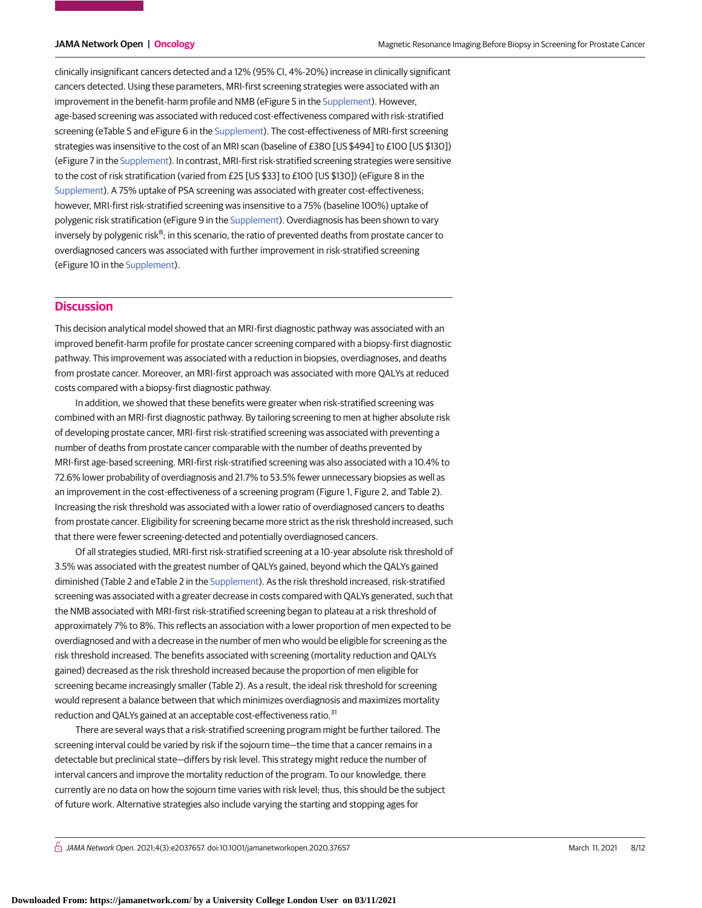clinically insignificant cancers detected and a 12% (95% CI, 4%-20%) increase in clinically significant cancers detected. Using these parameters, MRI-first screening strategies were associated with an improvement in the benefit-harm profile and NMB (eFigure 5 in the [Supplement\)](https://jama.jamanetwork.com/article.aspx?doi=10.1001/jamanetworkopen.2020.37657&utm_campaign=articlePDF%26utm_medium=articlePDFlink%26utm_source=articlePDF%26utm_content=jamanetworkopen.2020.37657). However, age-based screening was associated with reduced cost-effectiveness compared with risk-stratified screening (eTable 5 and eFigure 6 in the [Supplement\)](https://jama.jamanetwork.com/article.aspx?doi=10.1001/jamanetworkopen.2020.37657&utm_campaign=articlePDF%26utm_medium=articlePDFlink%26utm_source=articlePDF%26utm_content=jamanetworkopen.2020.37657). The cost-effectiveness of MRI-first screening strategies was insensitive to the cost of an MRI scan (baseline of £380 [US \$494] to £100 [US \$130]) (eFigure 7 in the [Supplement\)](https://jama.jamanetwork.com/article.aspx?doi=10.1001/jamanetworkopen.2020.37657&utm_campaign=articlePDF%26utm_medium=articlePDFlink%26utm_source=articlePDF%26utm_content=jamanetworkopen.2020.37657). In contrast, MRI-first risk-stratified screening strategies were sensitive to the cost of risk stratification (varied from £25 [US \$33] to £100 [US \$130]) (eFigure 8 in the [Supplement\)](https://jama.jamanetwork.com/article.aspx?doi=10.1001/jamanetworkopen.2020.37657&utm_campaign=articlePDF%26utm_medium=articlePDFlink%26utm_source=articlePDF%26utm_content=jamanetworkopen.2020.37657). A 75% uptake of PSA screening was associated with greater cost-effectiveness; however, MRI-first risk-stratified screening was insensitive to a 75% (baseline 100%) uptake of polygenic risk stratification (eFigure 9 in the [Supplement\)](https://jama.jamanetwork.com/article.aspx?doi=10.1001/jamanetworkopen.2020.37657&utm_campaign=articlePDF%26utm_medium=articlePDFlink%26utm_source=articlePDF%26utm_content=jamanetworkopen.2020.37657). Overdiagnosis has been shown to vary inversely by polygenic risk<sup>8</sup>; in this scenario, the ratio of prevented deaths from prostate cancer to overdiagnosed cancers was associated with further improvement in risk-stratified screening (eFigure 10 in the [Supplement\)](https://jama.jamanetwork.com/article.aspx?doi=10.1001/jamanetworkopen.2020.37657&utm_campaign=articlePDF%26utm_medium=articlePDFlink%26utm_source=articlePDF%26utm_content=jamanetworkopen.2020.37657).

# **Discussion**

This decision analytical model showed that an MRI-first diagnostic pathway was associated with an improved benefit-harm profile for prostate cancer screening compared with a biopsy-first diagnostic pathway. This improvement was associated with a reduction in biopsies, overdiagnoses, and deaths from prostate cancer. Moreover, an MRI-first approach was associated with more QALYs at reduced costs compared with a biopsy-first diagnostic pathway.

In addition, we showed that these benefits were greater when risk-stratified screening was combined with an MRI-first diagnostic pathway. By tailoring screening to men at higher absolute risk of developing prostate cancer, MRI-first risk-stratified screening was associated with preventing a number of deaths from prostate cancer comparable with the number of deaths prevented by MRI-first age-based screening. MRI-first risk-stratified screening was also associated with a 10.4% to 72.6% lower probability of overdiagnosis and 21.7% to 53.5% fewer unnecessary biopsies as well as an improvement in the cost-effectiveness of a screening program (Figure 1, Figure 2, and Table 2). Increasing the risk threshold was associated with a lower ratio of overdiagnosed cancers to deaths from prostate cancer. Eligibility for screening became more strict as the risk threshold increased, such that there were fewer screening-detected and potentially overdiagnosed cancers.

Of all strategies studied, MRI-first risk-stratified screening at a 10-year absolute risk threshold of 3.5% was associated with the greatest number of QALYs gained, beyond which the QALYs gained diminished (Table 2 and eTable 2 in the [Supplement\)](https://jama.jamanetwork.com/article.aspx?doi=10.1001/jamanetworkopen.2020.37657&utm_campaign=articlePDF%26utm_medium=articlePDFlink%26utm_source=articlePDF%26utm_content=jamanetworkopen.2020.37657). As the risk threshold increased, risk-stratified screening was associated with a greater decrease in costs compared with QALYs generated, such that the NMB associated with MRI-first risk-stratified screening began to plateau at a risk threshold of approximately 7% to 8%. This reflects an association with a lower proportion of men expected to be overdiagnosed and with a decrease in the number of men who would be eligible for screening as the risk threshold increased. The benefits associated with screening (mortality reduction and QALYs gained) decreased as the risk threshold increased because the proportion of men eligible for screening became increasingly smaller (Table 2). As a result, the ideal risk threshold for screening would represent a balance between that which minimizes overdiagnosis and maximizes mortality reduction and QALYs gained at an acceptable cost-effectiveness ratio.<sup>31</sup>

There are several ways that a risk-stratified screening program might be further tailored. The screening interval could be varied by risk if the sojourn time—the time that a cancer remains in a detectable but preclinical state—differs by risk level. This strategy might reduce the number of interval cancers and improve the mortality reduction of the program. To our knowledge, there currently are no data on how the sojourn time varies with risk level; thus, this should be the subject of future work. Alternative strategies also include varying the starting and stopping ages for

 $\bigcap$  JAMA Network Open. 2021;4(3):e2037657. doi:10.1001/jamanetworkopen.2020.37657 (Reprinted) March 11, 2021 8/12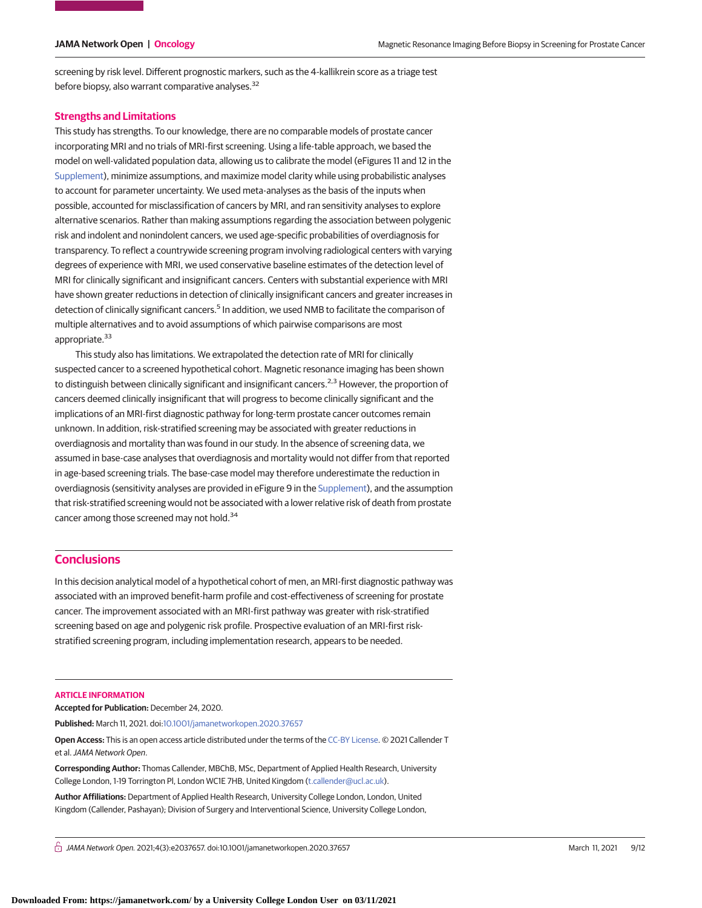screening by risk level. Different prognostic markers, such as the 4-kallikrein score as a triage test before biopsy, also warrant comparative analyses.<sup>32</sup>

#### **Strengths and Limitations**

This study has strengths. To our knowledge, there are no comparable models of prostate cancer incorporating MRI and no trials of MRI-first screening. Using a life-table approach, we based the model on well-validated population data, allowing us to calibrate the model (eFigures 11 and 12 in the [Supplement\)](https://jama.jamanetwork.com/article.aspx?doi=10.1001/jamanetworkopen.2020.37657&utm_campaign=articlePDF%26utm_medium=articlePDFlink%26utm_source=articlePDF%26utm_content=jamanetworkopen.2020.37657), minimize assumptions, and maximize model clarity while using probabilistic analyses to account for parameter uncertainty. We used meta-analyses as the basis of the inputs when possible, accounted for misclassification of cancers by MRI, and ran sensitivity analyses to explore alternative scenarios. Rather than making assumptions regarding the association between polygenic risk and indolent and nonindolent cancers, we used age-specific probabilities of overdiagnosis for transparency. To reflect a countrywide screening program involving radiological centers with varying degrees of experience with MRI, we used conservative baseline estimates of the detection level of MRI for clinically significant and insignificant cancers. Centers with substantial experience with MRI have shown greater reductions in detection of clinically insignificant cancers and greater increases in detection of clinically significant cancers.<sup>5</sup> In addition, we used NMB to facilitate the comparison of multiple alternatives and to avoid assumptions of which pairwise comparisons are most appropriate.<sup>33</sup>

This study also has limitations. We extrapolated the detection rate of MRI for clinically suspected cancer to a screened hypothetical cohort. Magnetic resonance imaging has been shown to distinguish between clinically significant and insignificant cancers.<sup>2,3</sup> However, the proportion of cancers deemed clinically insignificant that will progress to become clinically significant and the implications of an MRI-first diagnostic pathway for long-term prostate cancer outcomes remain unknown. In addition, risk-stratified screening may be associated with greater reductions in overdiagnosis and mortality than was found in our study. In the absence of screening data, we assumed in base-case analyses that overdiagnosis and mortality would not differ from that reported in age-based screening trials. The base-case model may therefore underestimate the reduction in overdiagnosis (sensitivity analyses are provided in eFigure 9 in the [Supplement\)](https://jama.jamanetwork.com/article.aspx?doi=10.1001/jamanetworkopen.2020.37657&utm_campaign=articlePDF%26utm_medium=articlePDFlink%26utm_source=articlePDF%26utm_content=jamanetworkopen.2020.37657), and the assumption that risk-stratified screening would not be associated with a lower relative risk of death from prostate cancer among those screened may not hold.<sup>34</sup>

# **Conclusions**

In this decision analytical model of a hypothetical cohort of men, an MRI-first diagnostic pathway was associated with an improved benefit-harm profile and cost-effectiveness of screening for prostate cancer. The improvement associated with an MRI-first pathway was greater with risk-stratified screening based on age and polygenic risk profile. Prospective evaluation of an MRI-first riskstratified screening program, including implementation research, appears to be needed.

#### **ARTICLE INFORMATION**

**Accepted for Publication:** December 24, 2020.

**Published:** March 11, 2021. doi[:10.1001/jamanetworkopen.2020.37657](https://jama.jamanetwork.com/article.aspx?doi=10.1001/jamanetworkopen.2020.37657&utm_campaign=articlePDF%26utm_medium=articlePDFlink%26utm_source=articlePDF%26utm_content=jamanetworkopen.2020.37657)

**Open Access:** This is an open access article distributed under the terms of the [CC-BY License.](https://jamanetwork.com/pages/cc-by-license-permissions/?utm_campaign=articlePDF%26utm_medium=articlePDFlink%26utm_source=articlePDF%26utm_content=jamanetworkopen.2020.37657) © 2021 Callender T et al.JAMA Network Open.

**Corresponding Author:** Thomas Callender, MBChB, MSc, Department of Applied Health Research, University College London, 1-19 Torrington Pl, London WC1E 7HB, United Kingdom [\(t.callender@ucl.ac.uk\)](mailto:t.callender@ucl.ac.uk).

**Author Affiliations:** Department of Applied Health Research, University College London, London, United Kingdom (Callender, Pashayan); Division of Surgery and Interventional Science, University College London,

 $\bigcap$  JAMA Network Open. 2021;4(3):e2037657. doi:10.1001/jamanetworkopen.2020.37657 (Reprinted) March 11, 2021 9/12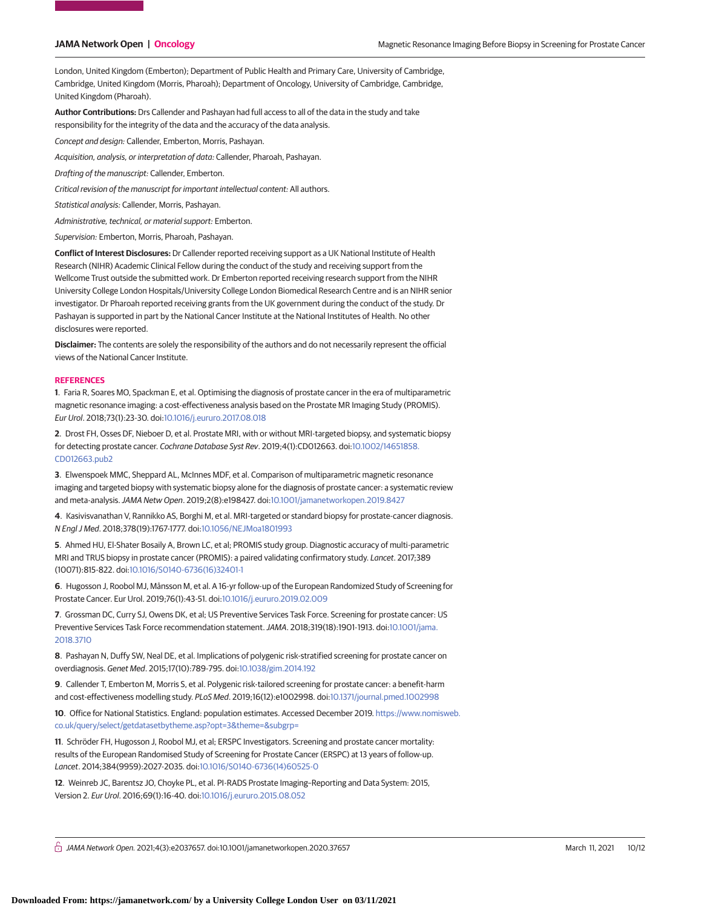London, United Kingdom (Emberton); Department of Public Health and Primary Care, University of Cambridge, Cambridge, United Kingdom (Morris, Pharoah); Department of Oncology, University of Cambridge, Cambridge, United Kingdom (Pharoah).

**Author Contributions:** Drs Callender and Pashayan had full access to all of the data in the study and take responsibility for the integrity of the data and the accuracy of the data analysis.

Concept and design: Callender, Emberton, Morris, Pashayan.

Acquisition, analysis, or interpretation of data: Callender, Pharoah, Pashayan.

Drafting of the manuscript: Callender, Emberton.

Critical revision of the manuscript for important intellectual content: All authors.

Statistical analysis: Callender, Morris, Pashayan.

Administrative, technical, or material support: Emberton.

Supervision: Emberton, Morris, Pharoah, Pashayan.

**Conflict of Interest Disclosures:** Dr Callender reported receiving support as a UK National Institute of Health Research (NIHR) Academic Clinical Fellow during the conduct of the study and receiving support from the Wellcome Trust outside the submitted work. Dr Emberton reported receiving research support from the NIHR University College London Hospitals/University College London Biomedical Research Centre and is an NIHR senior investigator. Dr Pharoah reported receiving grants from the UK government during the conduct of the study. Dr Pashayan is supported in part by the National Cancer Institute at the National Institutes of Health. No other disclosures were reported.

**Disclaimer:** The contents are solely the responsibility of the authors and do not necessarily represent the official views of the National Cancer Institute.

#### **REFERENCES**

**1**. Faria R, Soares MO, Spackman E, et al. Optimising the diagnosis of prostate cancer in the era of multiparametric magnetic resonance imaging: a cost-effectiveness analysis based on the Prostate MR Imaging Study (PROMIS). Eur Urol. 2018;73(1):23-30. doi[:10.1016/j.eururo.2017.08.018](https://dx.doi.org/10.1016/j.eururo.2017.08.018)

**2**. Drost FH, Osses DF, Nieboer D, et al. Prostate MRI, with or without MRI-targeted biopsy, and systematic biopsy for detecting prostate cancer. Cochrane Database Syst Rev. 2019;4(1):CD012663. doi[:10.1002/14651858.](https://dx.doi.org/10.1002/14651858.CD012663.pub2) [CD012663.pub2](https://dx.doi.org/10.1002/14651858.CD012663.pub2)

**3**. Elwenspoek MMC, Sheppard AL, McInnes MDF, et al. Comparison of multiparametric magnetic resonance imaging and targeted biopsy with systematic biopsy alone for the diagnosis of prostate cancer: a systematic review and meta-analysis.JAMA Netw Open. 2019;2(8):e198427. doi[:10.1001/jamanetworkopen.2019.8427](https://jama.jamanetwork.com/article.aspx?doi=10.1001/jamanetworkopen.2019.8427&utm_campaign=articlePDF%26utm_medium=articlePDFlink%26utm_source=articlePDF%26utm_content=jamanetworkopen.2020.37657)

**4**. Kasivisvanathan V, Rannikko AS, Borghi M, et al. MRI-targeted or standard biopsy for prostate-cancer diagnosis. N Engl J Med. 2018;378(19):1767-1777. doi[:10.1056/NEJMoa1801993](https://dx.doi.org/10.1056/NEJMoa1801993)

**5**. Ahmed HU, El-Shater Bosaily A, Brown LC, et al; PROMIS study group. Diagnostic accuracy of multi-parametric MRI and TRUS biopsy in prostate cancer (PROMIS): a paired validating confirmatory study. Lancet. 2017;389 (10071):815-822. doi[:10.1016/S0140-6736\(16\)32401-1](https://dx.doi.org/10.1016/S0140-6736(16)32401-1)

**6**. Hugosson J, Roobol MJ, Månsson M, et al. A 16-yr follow-up of the European Randomized Study of Screening for Prostate Cancer. Eur Urol. 2019;76(1):43-51. doi[:10.1016/j.eururo.2019.02.009](https://dx.doi.org/10.1016/j.eururo.2019.02.009)

**7**. Grossman DC, Curry SJ, Owens DK, et al; US Preventive Services Task Force. Screening for prostate cancer: US Preventive Services Task Force recommendation statement.JAMA. 2018;319(18):1901-1913. doi[:10.1001/jama.](https://jama.jamanetwork.com/article.aspx?doi=10.1001/jama.2018.3710&utm_campaign=articlePDF%26utm_medium=articlePDFlink%26utm_source=articlePDF%26utm_content=jamanetworkopen.2020.37657) [2018.3710](https://jama.jamanetwork.com/article.aspx?doi=10.1001/jama.2018.3710&utm_campaign=articlePDF%26utm_medium=articlePDFlink%26utm_source=articlePDF%26utm_content=jamanetworkopen.2020.37657)

**8**. Pashayan N, Duffy SW, Neal DE, et al. Implications of polygenic risk-stratified screening for prostate cancer on overdiagnosis. Genet Med. 2015;17(10):789-795. doi[:10.1038/gim.2014.192](https://dx.doi.org/10.1038/gim.2014.192)

**9**. Callender T, Emberton M, Morris S, et al. Polygenic risk-tailored screening for prostate cancer: a benefit-harm and cost-effectiveness modelling study. PLoS Med. 2019;16(12):e1002998. doi[:10.1371/journal.pmed.1002998](https://dx.doi.org/10.1371/journal.pmed.1002998)

**10**. Office for National Statistics. England: population estimates. Accessed December 2019. [https://www.nomisweb.](https://www.nomisweb.co.uk/query/select/getdatasetbytheme.asp?opt=3&theme=&subgrp=) [co.uk/query/select/getdatasetbytheme.asp?opt=3&theme=&subgrp=](https://www.nomisweb.co.uk/query/select/getdatasetbytheme.asp?opt=3&theme=&subgrp=)

**11**. Schröder FH, Hugosson J, Roobol MJ, et al; ERSPC Investigators. Screening and prostate cancer mortality: results of the European Randomised Study of Screening for Prostate Cancer (ERSPC) at 13 years of follow-up. Lancet. 2014;384(9959):2027-2035. doi[:10.1016/S0140-6736\(14\)60525-0](https://dx.doi.org/10.1016/S0140-6736(14)60525-0)

**12**. Weinreb JC, Barentsz JO, Choyke PL, et al. PI-RADS Prostate Imaging–Reporting and Data System: 2015, Version 2. Eur Urol. 2016;69(1):16-40. doi[:10.1016/j.eururo.2015.08.052](https://dx.doi.org/10.1016/j.eururo.2015.08.052)

 $\bigcap$  JAMA Network Open. 2021;4(3):e2037657. doi:10.1001/jamanetworkopen.2020.37657 (Reprinted) March 11, 2021 10/12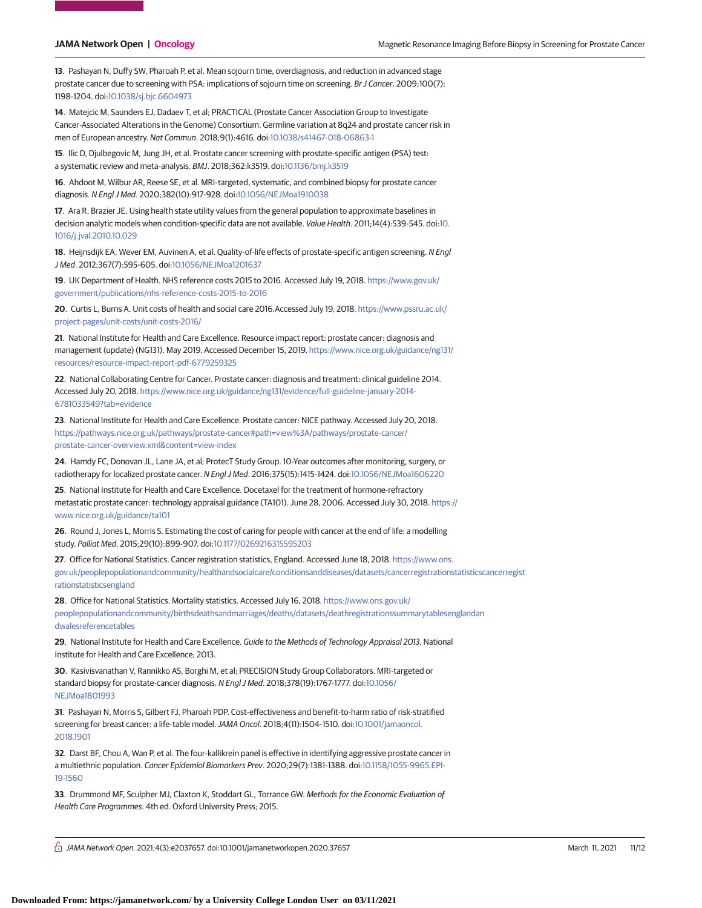**13**. Pashayan N, Duffy SW, Pharoah P, et al. Mean sojourn time, overdiagnosis, and reduction in advanced stage prostate cancer due to screening with PSA: implications of sojourn time on screening. Br J Cancer. 2009;100(7): 1198-1204. doi[:10.1038/sj.bjc.6604973](https://dx.doi.org/10.1038/sj.bjc.6604973)

**14**. Matejcic M, Saunders EJ, Dadaev T, et al; PRACTICAL (Prostate Cancer Association Group to Investigate Cancer-Associated Alterations in the Genome) Consortium. Germline variation at 8q24 and prostate cancer risk in men of European ancestry. Nat Commun. 2018;9(1):4616. doi[:10.1038/s41467-018-06863-1](https://dx.doi.org/10.1038/s41467-018-06863-1)

**15**. Ilic D, Djulbegovic M, Jung JH, et al. Prostate cancer screening with prostate-specific antigen (PSA) test: a systematic review and meta-analysis. BMJ. 2018;362:k3519. doi[:10.1136/bmj.k3519](https://dx.doi.org/10.1136/bmj.k3519)

**16**. Ahdoot M, Wilbur AR, Reese SE, et al. MRI-targeted, systematic, and combined biopsy for prostate cancer diagnosis. N Engl J Med. 2020;382(10):917-928. doi[:10.1056/NEJMoa1910038](https://dx.doi.org/10.1056/NEJMoa1910038)

**17**. Ara R, Brazier JE. Using health state utility values from the general population to approximate baselines in decision analytic models when condition-specific data are not available. Value Health. 2011;14(4):539-545. doi[:10.](https://dx.doi.org/10.1016/j.jval.2010.10.029) [1016/j.jval.2010.10.029](https://dx.doi.org/10.1016/j.jval.2010.10.029)

**18**. Heijnsdijk EA, Wever EM, Auvinen A, et al. Quality-of-life effects of prostate-specific antigen screening. N Engl J Med. 2012;367(7):595-605. doi[:10.1056/NEJMoa1201637](https://dx.doi.org/10.1056/NEJMoa1201637)

**19**. UK Department of Health. NHS reference costs 2015 to 2016. Accessed July 19, 2018. [https://www.gov.uk/](https://www.gov.uk/government/publications/nhs-reference-costs-2015-to-2016) [government/publications/nhs-reference-costs-2015-to-2016](https://www.gov.uk/government/publications/nhs-reference-costs-2015-to-2016)

**20**. Curtis L, Burns A. Unit costs of health and social care 2016.Accessed July 19, 2018. [https://www.pssru.ac.uk/](https://www.pssru.ac.uk/project-pages/unit-costs/unit-costs-2016/) [project-pages/unit-costs/unit-costs-2016/](https://www.pssru.ac.uk/project-pages/unit-costs/unit-costs-2016/)

**21**. National Institute for Health and Care Excellence. Resource impact report: prostate cancer: diagnosis and management (update) (NG131). May 2019. Accessed December 15, 2019. [https://www.nice.org.uk/guidance/ng131/](https://www.nice.org.uk/guidance/ng131/resources/resource-impact-report-pdf-6779259325) [resources/resource-impact-report-pdf-6779259325](https://www.nice.org.uk/guidance/ng131/resources/resource-impact-report-pdf-6779259325)

**22**. National Collaborating Centre for Cancer. Prostate cancer: diagnosis and treatment: clinical guideline 2014. Accessed July 20, 2018. [https://www.nice.org.uk/guidance/ng131/evidence/full-guideline-january-2014-](https://www.nice.org.uk/guidance/ng131/evidence/full-guideline-january-2014-6781033549?tab=evidence) [6781033549?tab=evidence](https://www.nice.org.uk/guidance/ng131/evidence/full-guideline-january-2014-6781033549?tab=evidence)

**23**. National Institute for Health and Care Excellence. Prostate cancer: NICE pathway. Accessed July 20, 2018. [https://pathways.nice.org.uk/pathways/prostate-cancer#path=view%3A/pathways/prostate-cancer/](https://pathways.nice.org.uk/pathways/prostate-cancer#path=view%3A/pathways/prostate-cancer/prostate-cancer-overview.xml&content=view-index) [prostate-cancer-overview.xml&content=view-index](https://pathways.nice.org.uk/pathways/prostate-cancer#path=view%3A/pathways/prostate-cancer/prostate-cancer-overview.xml&content=view-index)

**24**. Hamdy FC, Donovan JL, Lane JA, et al; ProtecT Study Group. 10-Year outcomes after monitoring, surgery, or radiotherapy for localized prostate cancer. N Engl J Med. 2016;375(15):1415-1424. doi[:10.1056/NEJMoa1606220](https://dx.doi.org/10.1056/NEJMoa1606220)

**25**. National Institute for Health and Care Excellence. Docetaxel for the treatment of hormone-refractory metastatic prostate cancer: technology appraisal guidance (TA101). June 28, 2006. Accessed July 30, 2018. [https://](https://www.nice.org.uk/guidance/ta101) [www.nice.org.uk/guidance/ta101](https://www.nice.org.uk/guidance/ta101)

**26**. Round J, Jones L, Morris S. Estimating the cost of caring for people with cancer at the end of life: a modelling study. Palliat Med. 2015;29(10):899-907. doi[:10.1177/0269216315595203](https://dx.doi.org/10.1177/0269216315595203)

**27**. Office for National Statistics. Cancer registration statistics, England. Accessed June 18, 2018. [https://www.ons.](https://www.ons.gov.uk/peoplepopulationandcommunity/healthandsocialcare/conditionsanddiseases/datasets/cancerregistrationstatisticscancerregistrationstatisticsengland) [gov.uk/peoplepopulationandcommunity/healthandsocialcare/conditionsanddiseases/datasets/cancerregistrationstatisticscancerregist](https://www.ons.gov.uk/peoplepopulationandcommunity/healthandsocialcare/conditionsanddiseases/datasets/cancerregistrationstatisticscancerregistrationstatisticsengland) [rationstatisticsengland](https://www.ons.gov.uk/peoplepopulationandcommunity/healthandsocialcare/conditionsanddiseases/datasets/cancerregistrationstatisticscancerregistrationstatisticsengland)

**28**. Office for National Statistics. Mortality statistics. Accessed July 16, 2018. [https://www.ons.gov.uk/](https://www.ons.gov.uk/peoplepopulationandcommunity/birthsdeathsandmarriages/deaths/datasets/deathregistrationssummarytablesenglandandwalesreferencetables) [peoplepopulationandcommunity/birthsdeathsandmarriages/deaths/datasets/deathregistrationssummarytablesenglandan](https://www.ons.gov.uk/peoplepopulationandcommunity/birthsdeathsandmarriages/deaths/datasets/deathregistrationssummarytablesenglandandwalesreferencetables) [dwalesreferencetables](https://www.ons.gov.uk/peoplepopulationandcommunity/birthsdeathsandmarriages/deaths/datasets/deathregistrationssummarytablesenglandandwalesreferencetables)

**29**. National Institute for Health and Care Excellence. Guide to the Methods of Technology Appraisal 2013. National Institute for Health and Care Excellence; 2013.

**30**. Kasivisvanathan V, Rannikko AS, Borghi M, et al; PRECISION Study Group Collaborators. MRI-targeted or standard biopsy for prostate-cancer diagnosis. N Engl J Med. 2018;378(19):1767-1777. doi[:10.1056/](https://dx.doi.org/10.1056/NEJMoa1801993) [NEJMoa1801993](https://dx.doi.org/10.1056/NEJMoa1801993)

**31**. Pashayan N, Morris S, Gilbert FJ, Pharoah PDP. Cost-effectiveness and benefit-to-harm ratio of risk-stratified screening for breast cancer: a life-table model. JAMA Oncol. 2018;4(11):1504-1510. doi[:10.1001/jamaoncol.](https://jama.jamanetwork.com/article.aspx?doi=10.1001/jamaoncol.2018.1901&utm_campaign=articlePDF%26utm_medium=articlePDFlink%26utm_source=articlePDF%26utm_content=jamanetworkopen.2020.37657) [2018.1901](https://jama.jamanetwork.com/article.aspx?doi=10.1001/jamaoncol.2018.1901&utm_campaign=articlePDF%26utm_medium=articlePDFlink%26utm_source=articlePDF%26utm_content=jamanetworkopen.2020.37657)

**32**. Darst BF, Chou A, Wan P, et al. The four-kallikrein panel is effective in identifying aggressive prostate cancer in a multiethnic population. Cancer Epidemiol Biomarkers Prev. 2020;29(7):1381-1388. doi[:10.1158/1055-9965.EPI-](https://dx.doi.org/10.1158/1055-9965.EPI-19-1560)[19-1560](https://dx.doi.org/10.1158/1055-9965.EPI-19-1560)

**33**. Drummond MF, Sculpher MJ, Claxton K, Stoddart GL, Torrance GW. Methods for the Economic Evaluation of Health Care Programmes. 4th ed. Oxford University Press; 2015.

 $\bigcap$  JAMA Network Open. 2021;4(3):e2037657. doi:10.1001/jamanetworkopen.2020.37657 (Reprinted) March 11, 2021 11/12